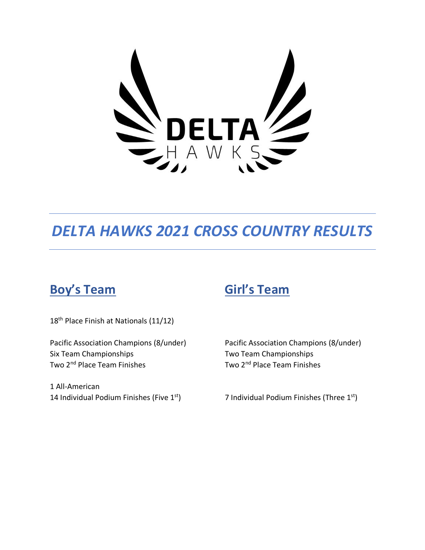

# *DELTA HAWKS 2021 CROSS COUNTRY RESULTS*

# **Boy's Team Girl's Team**

18<sup>th</sup> Place Finish at Nationals (11/12)

Pacific Association Champions (8/under) Pacific Association Champions (8/under) Six Team Championships Two Team Championships Two 2<sup>nd</sup> Place Team Finishes

1 All-American 14 Individual Podium Finishes (Five 1st) Two 2<sup>nd</sup> Place Team Finishes

<sup>st</sup>) 7 Individual Podium Finishes (Three 1<sup>st</sup>)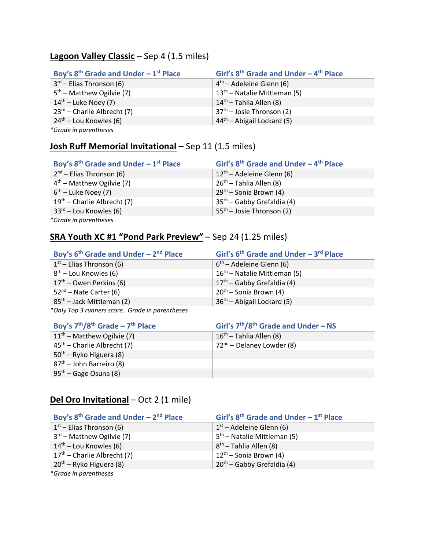# **Lagoon Valley Classic** – Sep 4 (1.5 miles)

| Boy's $8th$ Grade and Under - 1 <sup>st</sup> Place | Girl's $8th$ Grade and Under - $4th$ Place |
|-----------------------------------------------------|--------------------------------------------|
| $3^{rd}$ – Elias Thronson (6)                       | $4th$ – Adeleine Glenn (6)                 |
| $5th$ – Matthew Ogilvie (7)                         | $13th$ – Natalie Mittleman (5)             |
| $14^{th}$ – Luke Noey (7)                           | $14th$ – Tahlia Allen (8)                  |
| $23^{rd}$ – Charlie Albrecht (7)                    | $37th$ – Josie Thronson (2)                |
| $24th$ – Lou Knowles (6)                            | $44th$ – Abigail Lockard (5)               |
| *Grade in parentheses                               |                                            |

# **Josh Ruff Memorial Invitational** – Sep 11 (1.5 miles)

| Boy's $8th$ Grade and Under - 1 <sup>st</sup> Place | Girl's $8th$ Grade and Under - $4th$ Place |
|-----------------------------------------------------|--------------------------------------------|
| $2nd$ – Elias Thronson (6)                          | $12th$ – Adeleine Glenn (6)                |
| $4th$ – Matthew Ogilvie (7)                         | 26 <sup>th</sup> – Tahlia Allen (8)        |
| $6th$ – Luke Noey (7)                               | $29th$ – Sonia Brown (4)                   |
| $19th$ – Charlie Albrecht (7)                       | $35th$ – Gabby Grefaldia (4)               |
| $33^{rd}$ – Lou Knowles (6)                         | $55th$ – Josie Thronson (2)                |
| *Grade in parentheses                               |                                            |

# **SRA Youth XC #1 "Pond Park Preview"** – Sep 24 (1.25 miles)

| Boy's $6th$ Grade and Under - $2nd$ Place       | Girl's $6th$ Grade and Under - $3rd$ Place |
|-------------------------------------------------|--------------------------------------------|
| $1st$ – Elias Thronson (6)                      | $6th$ – Adeleine Glenn (6)                 |
| $8th$ – Lou Knowles (6)                         | $16th$ – Natalie Mittleman (5)             |
| $17th$ – Owen Perkins (6)                       | $17th$ – Gabby Grefaldia (4)               |
| $52nd$ – Nate Carter (6)                        | $20^{th}$ – Sonia Brown (4)                |
| $85th$ – Jack Mittleman (2)                     | $36th$ – Abigail Lockard (5)               |
| *Only Top 3 runners score. Grade in parentheses |                                            |

| Boy's $7th/8th$ Grade - $7th$ Place | Girl's $7th/8th$ Grade and Under – NS |
|-------------------------------------|---------------------------------------|
| $11th$ – Matthew Ogilvie (7)        | . 16 <sup>th</sup> – Tahlia Allen (8) |
| $45th$ – Charlie Albrecht (7)       | 72 <sup>nd</sup> – Delaney Lowder (8) |
| $50th$ – Ryko Higuera (8)           |                                       |
| $87th$ – John Barreiro (8)          |                                       |
| $95th$ – Gage Osuna (8)             |                                       |

# **Del Oro Invitational** – Oct 2 (1 mile)

| Boy's $8th$ Grade and Under – $2nd$ Place | Girl's $8th$ Grade and Under - $1st$ Place |
|-------------------------------------------|--------------------------------------------|
| $1st$ – Elias Thronson (6)                | $1st$ – Adeleine Glenn (6)                 |
| $3rd$ – Matthew Ogilvie (7)               | $5th$ – Natalie Mittleman (5)              |
| $14th$ – Lou Knowles (6)                  | $8th$ – Tahlia Allen (8)                   |
| $17th$ – Charlie Albrecht (7)             | $12^{th}$ – Sonia Brown (4)                |
| 20 <sup>th</sup> – Ryko Higuera (8)       | $20th$ – Gabby Grefaldia (4)               |
| *Grade in parentheses                     |                                            |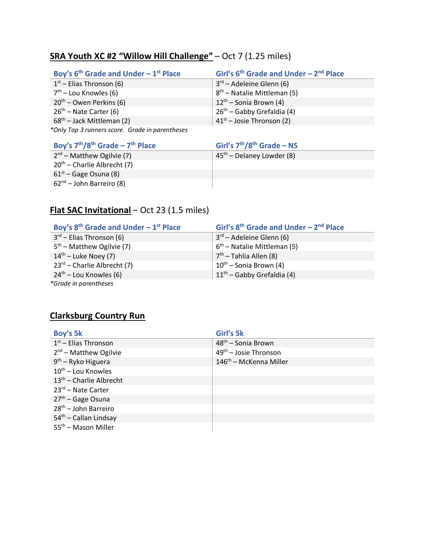# **SRA Youth XC #2 "Willow Hill Challenge"** – Oct 7 (1.25 miles)

| Boy's $6th$ Grade and Under - 1 <sup>st</sup> Place | Girl's $6th$ Grade and Under – $2nd$ Place |
|-----------------------------------------------------|--------------------------------------------|
| $1st$ – Elias Thronson (6)                          | $3^{rd}$ – Adeleine Glenn (6)              |
| $7th$ – Lou Knowles (6)                             | $8th$ – Natalie Mittleman (5)              |
| $20th$ – Owen Perkins (6)                           | $12^{th}$ – Sonia Brown (4)                |
| $26th$ – Nate Carter (6)                            | $26th$ – Gabby Grefaldia (4)               |
| $68th$ – Jack Mittleman (2)                         | $41st$ – Josie Thronson (2)                |
| *Only Top 3 runners score. Grade in parentheses     |                                            |

| Boy's $7th/8th$ Grade - $7th$ Place | Girl's $7th/8th$ Grade – NS |
|-------------------------------------|-----------------------------|
| $2nd$ – Matthew Ogilvie (7)         | $45th$ – Delaney Lowder (8) |
| $20th$ – Charlie Albrecht (7)       |                             |
| $61st$ – Gage Osuna (8)             |                             |
| $62nd$ – John Barreiro (8)          |                             |

# **Flat SAC Invitational** – Oct 23 (1.5 miles)

| Boy's $8th$ Grade and Under - 1 <sup>st</sup> Place | Girl's $8th$ Grade and Under - $2nd$ Place |
|-----------------------------------------------------|--------------------------------------------|
| $3^{rd}$ – Elias Thronson (6)                       | $3^{rd}$ – Adeleine Glenn (6)              |
| $5th$ – Matthew Ogilvie (7)                         | $6th$ – Natalie Mittleman (5)              |
| $14th$ – Luke Noey (7)                              | $7th$ – Tahlia Allen (8)                   |
| $23^{rd}$ – Charlie Albrecht (7)                    | $10^{th}$ – Sonia Brown (4)                |
| $24th$ – Lou Knowles (6)                            | $11th$ – Gabby Grefaldia (4)               |
| *Grade in parentheses                               |                                            |

# **Clarksburg Country Run**

| Boy's 5k                        | Girl's 5k                          |
|---------------------------------|------------------------------------|
| $1st$ – Elias Thronson          | 48 <sup>th</sup> - Sonia Brown     |
| $2nd$ – Matthew Ogilvie         | 49 <sup>th</sup> - Josie Thronson  |
| $9th$ – Ryko Higuera            | 146 <sup>th</sup> – McKenna Miller |
| $10^{th}$ – Lou Knowles         |                                    |
| $13th$ – Charlie Albrecht       |                                    |
| $23^{rd}$ – Nate Carter         |                                    |
| $27th$ – Gage Osuna             |                                    |
| $28th$ – John Barreiro          |                                    |
| $54th$ - Callan Lindsay         |                                    |
| 55 <sup>th</sup> – Mason Miller |                                    |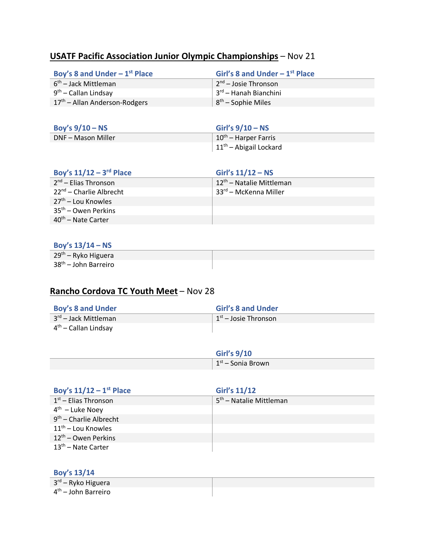# **USATF Pacific Association Junior Olympic Championships** – Nov 21

| Boy's 8 and Under $-1st$ Place            | Girl's 8 and Under $-1st$ Place                |
|-------------------------------------------|------------------------------------------------|
| 6 <sup>th</sup> – Jack Mittleman          | $\frac{1}{2}$ 2 <sup>nd</sup> – Josie Thronson |
| $9th$ – Callan Lindsay                    | ⊥3 <sup>rd</sup> – Hanah Bianchini             |
| 17 <sup>th</sup> – Allan Anderson-Rodgers | $ 8^{th}$ – Sophie Miles                       |
|                                           |                                                |

| Boy's $9/10 - NS$  | Girl's $9/10 - NS$                |
|--------------------|-----------------------------------|
| DNF – Mason Miller | 10 <sup>th</sup> – Harper Farris  |
|                    | $\vert 11^{th}$ – Abigail Lockard |

| Boy's $11/12 - 3$ <sup>rd</sup> Place | Girl's $11/12 - NS$                  |
|---------------------------------------|--------------------------------------|
| $2nd$ – Elias Thronson                | 12 <sup>th</sup> – Natalie Mittleman |
| 22 <sup>nd</sup> – Charlie Albrecht   | . 33 <sup>rd</sup> – McKenna Miller  |
| 27 <sup>th</sup> – Lou Knowles        |                                      |
| $35th$ – Owen Perkins                 |                                      |
| $40th$ – Nate Carter                  |                                      |

#### **Boy's 13/14 – NS**

| 29 <sup>th</sup> – Ryko Higuera  |  |
|----------------------------------|--|
| 38 <sup>th</sup> – John Barreiro |  |

# **Rancho Cordova TC Youth Meet** – Nov 28

| <b>Boy's 8 and Under</b>         | <b>Girl's 8 and Under</b>              |
|----------------------------------|----------------------------------------|
| 3rd – Jack Mittleman             | $\pm 1$ <sup>st</sup> – Josie Thronson |
| 4 <sup>th</sup> – Callan Lindsay |                                        |

| <b>Girl's 9/10</b>              |
|---------------------------------|
| $\mid 1^{\rm st}$ – Sonia Brown |

| Boy's $11/12 - 1$ <sup>st</sup> Place | <b>Girl's 11/12</b>                 |
|---------------------------------------|-------------------------------------|
| $1st$ – Elias Thronson                | 5 <sup>th</sup> - Natalie Mittleman |
| $4^{\text{th}}$ – Luke Noey           |                                     |
| $9th$ – Charlie Albrecht              |                                     |
| $11th$ – Lou Knowles                  |                                     |
| $12th$ – Owen Perkins                 |                                     |
| 13 <sup>th</sup> – Nate Carter        |                                     |

#### **Boy's 13/14**

3 rd – Ryko Higuera 4 th – John Barreiro